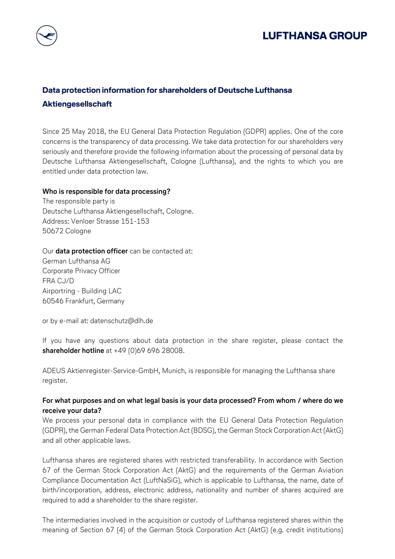# **LUFTHANSA GROUP**

# **Data protection information for shareholders of Deutsche Lufthansa Aktiengesellschaft**

Since 25 May 2018, the EU General Data Protection Regulation (GDPR) applies. One of the core concerns is the transparency of data processing. We take data protection for our shareholders very seriously and therefore provide the following information about the processing of personal data by Deutsche Lufthansa Aktiengesellschaft, Cologne (Lufthansa), and the rights to which you are entitled under data protection law.

#### **Who is responsible for data processing?**

The responsible party is Deutsche Lufthansa Aktiengesellschaft, Cologne. Address: Venloer Strasse 151-153 50672 Cologne

#### Our **data protection officer** can be contacted at:

German Lufthansa AG Corporate Privacy Officer FRA CJ/D Airportring - Building LAC 60546 Frankfurt, Germany

or by e-mail at: [datenschutz@dlh.de](mailto:datenschutz@dlh.de)

If you have any questions about data protection in the share register, please contact the **shareholder hotline** at +49 (0)69 696 28008.

ADEUS Aktienregister-Service-GmbH, Munich, is responsible for managing the Lufthansa share register.

#### **For what purposes and on what legal basis is your data processed? From whom / where do we receive your data?**

We process your personal data in compliance with the EU General Data Protection Regulation (GDPR), the German Federal Data Protection Act (BDSG), the German Stock Corporation Act (AktG) and all other applicable laws.

Lufthansa shares are registered shares with restricted transferability. In accordance with Section 67 of the German Stock Corporation Act (AktG) and the requirements of the German Aviation Compliance Documentation Act (LuftNaSiG), which is applicable to Lufthansa, the name, date of birth/incorporation, address, electronic address, nationality and number of shares acquired are required to add a shareholder to the share register.

The intermediaries involved in the acquisition or custody of Lufthansa registered shares within the meaning of Section 67 (4) of the German Stock Corporation Act (AktG) (e.g. credit institutions)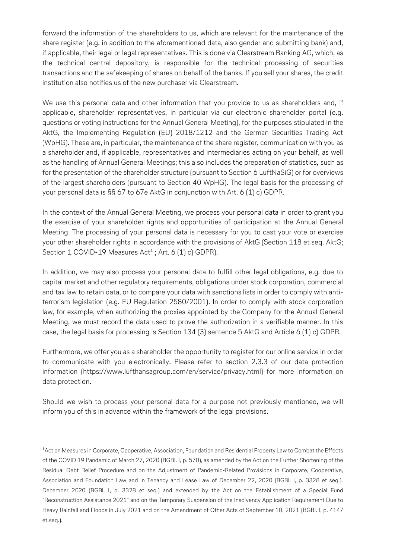forward the information of the shareholders to us, which are relevant for the maintenance of the share register (e.g. in addition to the aforementioned data, also gender and submitting bank) and, if applicable, their legal or legal representatives. This is done via Clearstream Banking AG, which, as the technical central depository, is responsible for the technical processing of securities transactions and the safekeeping of shares on behalf of the banks. If you sell your shares, the credit institution also notifies us of the new purchaser via Clearstream.

We use this personal data and other information that you provide to us as shareholders and, if applicable, shareholder representatives, in particular via our electronic shareholder portal (e.g. questions or voting instructions for the Annual General Meeting), for the purposes stipulated in the AktG, the Implementing Regulation (EU) 2018/1212 and the German Securities Trading Act (WpHG). These are, in particular, the maintenance of the share register, communication with you as a shareholder and, if applicable, representatives and intermediaries acting on your behalf, as well as the handling of Annual General Meetings; this also includes the preparation of statistics, such as for the presentation of the shareholder structure (pursuant to Section 6 LuftNaSiG) or for overviews of the largest shareholders (pursuant to Section 40 WpHG). The legal basis for the processing of your personal data is §§ 67 to 67e AktG in conjunction with Art. 6 (1) c) GDPR.

In the context of the Annual General Meeting, we process your personal data in order to grant you the exercise of your shareholder rights and opportunities of participation at the Annual General Meeting. The processing of your personal data is necessary for you to cast your vote or exercise your other shareholder rights in accordance with the provisions of AktG (Section 118 et seq. AktG; Section  $1$  COVID-19 Measures Act $^{\rm 1}$  ; Art. 6 (1) c) GDPR).

In addition, we may also process your personal data to fulfill other legal obligations, e.g. due to capital market and other regulatory requirements, obligations under stock corporation, commercial and tax law to retain data, or to compare your data with sanctions lists in order to comply with antiterrorism legislation (e.g. EU Regulation 2580/2001). In order to comply with stock corporation law, for example, when authorizing the proxies appointed by the Company for the Annual General Meeting, we must record the data used to prove the authorization in a verifiable manner. In this case, the legal basis for processing is Section 134 (3) sentence 5 AktG and Article 6 (1) c) GDPR.

Furthermore, we offer you as a shareholder the opportunity to register for our online service in order to communicate with you electronically. Please refer to section 2.3.3 of our data protection information [\(https://www.lufthansagroup.com/en/service/privacy.html\)](https://www.lufthansagroup.com/en/service/privacy.html) for more information on data protection.

Should we wish to process your personal data for a purpose not previously mentioned, we will inform you of this in advance within the framework of the legal provisions.

 $\overline{a}$ 

<sup>1</sup>Act on Measures in Corporate, Cooperative, Association, Foundation and Residential Property Law to Combat the Effects of the COVID 19 Pandemic of March 27, 2020 (BGBl. I, p. 570), as amended by the Act on the Further Shortening of the Residual Debt Relief Procedure and on the Adjustment of Pandemic-Related Provisions in Corporate, Cooperative, Association and Foundation Law and in Tenancy and Lease Law of December 22, 2020 (BGBl. I, p. 3328 et seq.). December 2020 (BGBl. I, p. 3328 et seq.) and extended by the Act on the Establishment of a Special Fund "Reconstruction Assistance 2021" and on the Temporary Suspension of the Insolvency Application Requirement Due to Heavy Rainfall and Floods in July 2021 and on the Amendment of Other Acts of September 10, 2021 (BGBl. I, p. 4147 et seq.).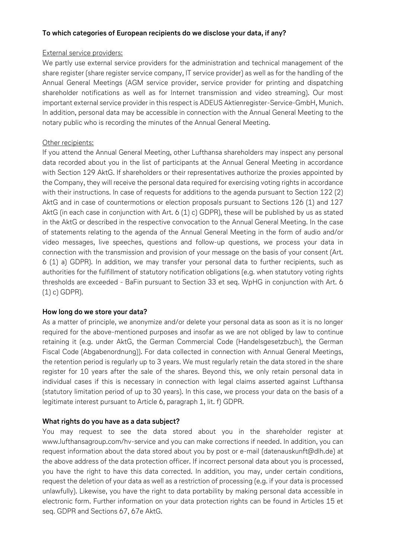#### **To which categories of European recipients do we disclose your data, if any?**

#### External service providers:

We partly use external service providers for the administration and technical management of the share register (share register service company, IT service provider) as well as for the handling of the Annual General Meetings (AGM service provider, service provider for printing and dispatching shareholder notifications as well as for Internet transmission and video streaming). Our most important external service provider in this respect is ADEUS Aktienregister-Service-GmbH, Munich. In addition, personal data may be accessible in connection with the Annual General Meeting to the notary public who is recording the minutes of the Annual General Meeting.

#### Other recipients:

If you attend the Annual General Meeting, other Lufthansa shareholders may inspect any personal data recorded about you in the list of participants at the Annual General Meeting in accordance with Section 129 AktG. If shareholders or their representatives authorize the proxies appointed by the Company, they will receive the personal data required for exercising voting rights in accordance with their instructions. In case of requests for additions to the agenda pursuant to Section 122 (2) AktG and in case of countermotions or election proposals pursuant to Sections 126 (1) and 127 AktG (in each case in conjunction with Art. 6 (1) c) GDPR), these will be published by us as stated in the AktG or described in the respective convocation to the Annual General Meeting. In the case of statements relating to the agenda of the Annual General Meeting in the form of audio and/or video messages, live speeches, questions and follow-up questions, we process your data in connection with the transmission and provision of your message on the basis of your consent (Art. 6 (1) a) GDPR). In addition, we may transfer your personal data to further recipients, such as authorities for the fulfillment of statutory notification obligations (e.g. when statutory voting rights thresholds are exceeded - BaFin pursuant to Section 33 et seq. WpHG in conjunction with Art. 6 (1) c) GDPR).

#### **How long do we store your data?**

As a matter of principle, we anonymize and/or delete your personal data as soon as it is no longer required for the above-mentioned purposes and insofar as we are not obliged by law to continue retaining it (e.g. under AktG, the German Commercial Code (Handelsgesetzbuch), the German Fiscal Code (Abgabenordnung)). For data collected in connection with Annual General Meetings, the retention period is regularly up to 3 years. We must regularly retain the data stored in the share register for 10 years after the sale of the shares. Beyond this, we only retain personal data in individual cases if this is necessary in connection with legal claims asserted against Lufthansa (statutory limitation period of up to 30 years). In this case, we process your data on the basis of a legitimate interest pursuant to Article 6, paragraph 1, lit. f) GDPR.

## **What rights do you have as a data subject?**

You may request to see the data stored about you in the shareholder register at [www.lufthansagroup.com/hv-service](http://www.lufthansagroup.com/hv-service) and you can make corrections if needed. In addition, you can request information about the data stored about you by post or e-mail (datenauskunft@dlh.de) at the above address of the data protection officer. If incorrect personal data about you is processed, you have the right to have this data corrected. In addition, you may, under certain conditions, request the deletion of your data as well as a restriction of processing (e.g. if your data is processed unlawfully). Likewise, you have the right to data portability by making personal data accessible in electronic form. Further information on your data protection rights can be found in Articles 15 et seq. GDPR and Sections 67, 67e AktG.